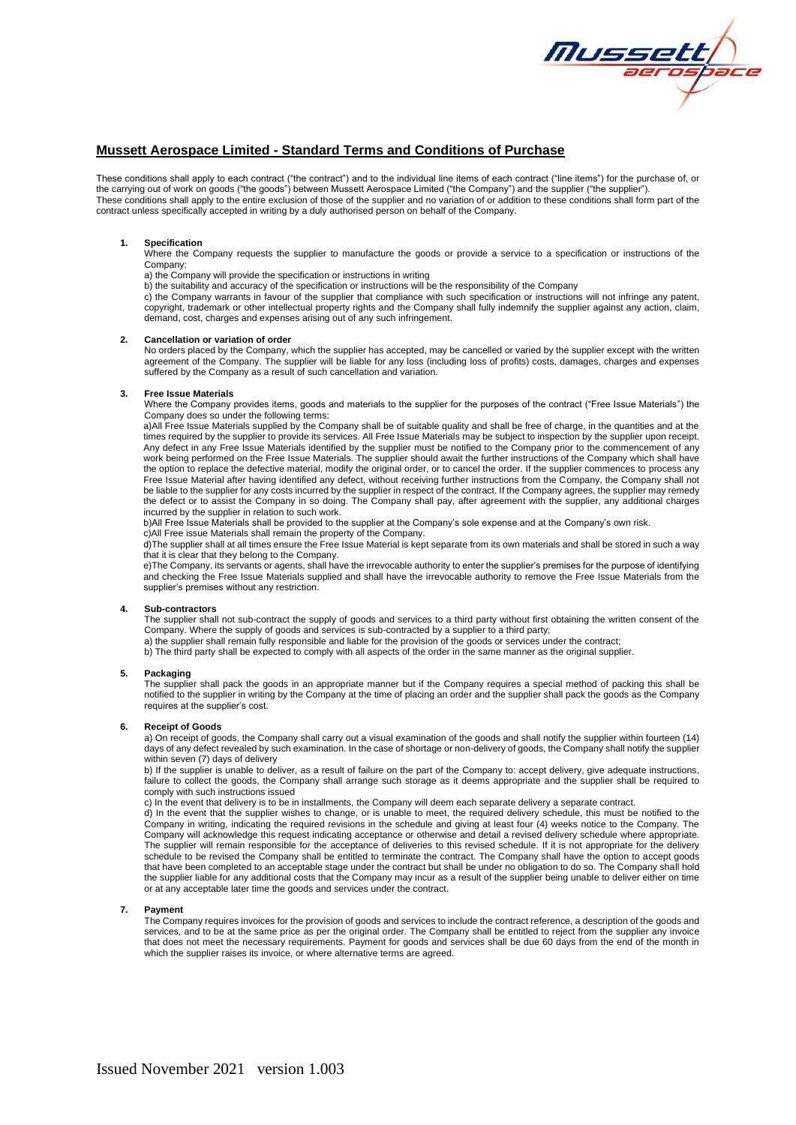

# **Mussett Aerospace Limited - Standard Terms and Conditions of Purchase**

These conditions shall apply to each contract ("the contract") and to the individual line items of each contract ("line items") for the purchase of, or the carrying out of work on goods ("the goods") between Mussett Aerospace Limited ("the Company") and the supplier ("the supplier"). These conditions shall apply to the entire exclusion of those of the supplier and no variation of or addition to these conditions shall form part of the contract unless specifically accepted in writing by a duly authorised person on behalf of the Company.

## **1. Specification**

Where the Company requests the supplier to manufacture the goods or provide a service to a specification or instructions of the Company:

a) the Company will provide the specification or instructions in writing

b) the suitability and accuracy of the specification or instructions will be the responsibility of the Company

c) the Company warrants in favour of the supplier that compliance with such specification or instructions will not infringe any patent, copyright, trademark or other intellectual property rights and the Company shall fully indemnify the supplier against any action, claim, demand, cost, charges and expenses arising out of any such infringement.

### **2. Cancellation or variation of order**

No orders placed by the Company, which the supplier has accepted, may be cancelled or varied by the supplier except with the written agreement of the Company. The supplier will be liable for any loss (including loss of profits) costs, damages, charges and expenses suffered by the Company as a result of such cancellation and variation.

### **3. Free Issue Materials**

Where the Company provides items, goods and materials to the supplier for the purposes of the contract ("Free Issue Materials") the Company does so under the following terms:

a)All Free Issue Materials supplied by the Company shall be of suitable quality and shall be free of charge, in the quantities and at the times required by the supplier to provide its services. All Free Issue Materials may be subject to inspection by the supplier upon receipt. Any defect in any Free Issue Materials identified by the supplier must be notified to the Company prior to the commencement of any work being performed on the Free Issue Materials. The supplier should await the further instructions of the Company which shall have the option to replace the defective material, modify the original order, or to cancel the order. If the supplier commences to process any Free Issue Material after having identified any defect, without receiving further instructions from the Company, the Company shall not be liable to the supplier for any costs incurred by the supplier in respect of the contract. If the Company agrees, the supplier may remedy the defect or to assist the Company in so doing. The Company shall pay, after agreement with the supplier, any additional charges incurred by the supplier in relation to such work.

b)All Free Issue Materials shall be provided to the supplier at the Company's sole expense and at the Company's own risk. c)All Free issue Materials shall remain the property of the Company.

d)The supplier shall at all times ensure the Free Issue Material is kept separate from its own materials and shall be stored in such a way that it is clear that they belong to the Company.

e)The Company, its servants or agents, shall have the irrevocable authority to enter the supplier's premises for the purpose of identifying and checking the Free Issue Materials supplied and shall have the irrevocable authority to remove the Free Issue Materials from the supplier's premises without any restriction.

#### **4. Sub-contractors**

The supplier shall not sub-contract the supply of goods and services to a third party without first obtaining the written consent of the Company. Where the supply of goods and services is sub-contracted by a supplier to a third party;

a) the supplier shall remain fully responsible and liable for the provision of the goods or services under the contract; b) The third party shall be expected to comply with all aspects of the order in the same manner as the original supplier.

### **5. Packaging**

The supplier shall pack the goods in an appropriate manner but if the Company requires a special method of packing this shall be notified to the supplier in writing by the Company at the time of placing an order and the supplier shall pack the goods as the Company requires at the supplier's cost.

#### **6. Receipt of Goods**

a) On receipt of goods, the Company shall carry out a visual examination of the goods and shall notify the supplier within fourteen (14) days of any defect revealed by such examination. In the case of shortage or non-delivery of goods, the Company shall notify the supplier within seven (7) days of delivery

b) If the supplier is unable to deliver, as a result of failure on the part of the Company to: accept delivery, give adequate instructions, failure to collect the goods, the Company shall arrange such storage as it deems appropriate and the supplier shall be required to comply with such instructions issued

c) In the event that delivery is to be in installments, the Company will deem each separate delivery a separate contract.

d) In the event that the supplier wishes to change, or is unable to meet, the required delivery schedule, this must be notified to the Company in writing, indicating the required revisions in the schedule and giving at least four (4) weeks notice to the Company. The Company will acknowledge this request indicating acceptance or otherwise and detail a revised delivery schedule where appropriate. The supplier will remain responsible for the acceptance of deliveries to this revised schedule. If it is not appropriate for the delivery schedule to be revised the Company shall be entitled to terminate the contract. The Company shall have the option to accept goods that have been completed to an acceptable stage under the contract but shall be under no obligation to do so. The Company shall hold the supplier liable for any additional costs that the Company may incur as a result of the supplier being unable to deliver either on time or at any acceptable later time the goods and services under the contract.

#### **7. Payment**

The Company requires invoices for the provision of goods and services to include the contract reference, a description of the goods and services, and to be at the same price as per the original order. The Company shall be entitled to reject from the supplier any invoice that does not meet the necessary requirements. Payment for goods and services shall be due 60 days from the end of the month in which the supplier raises its invoice, or where alternative terms are agreed.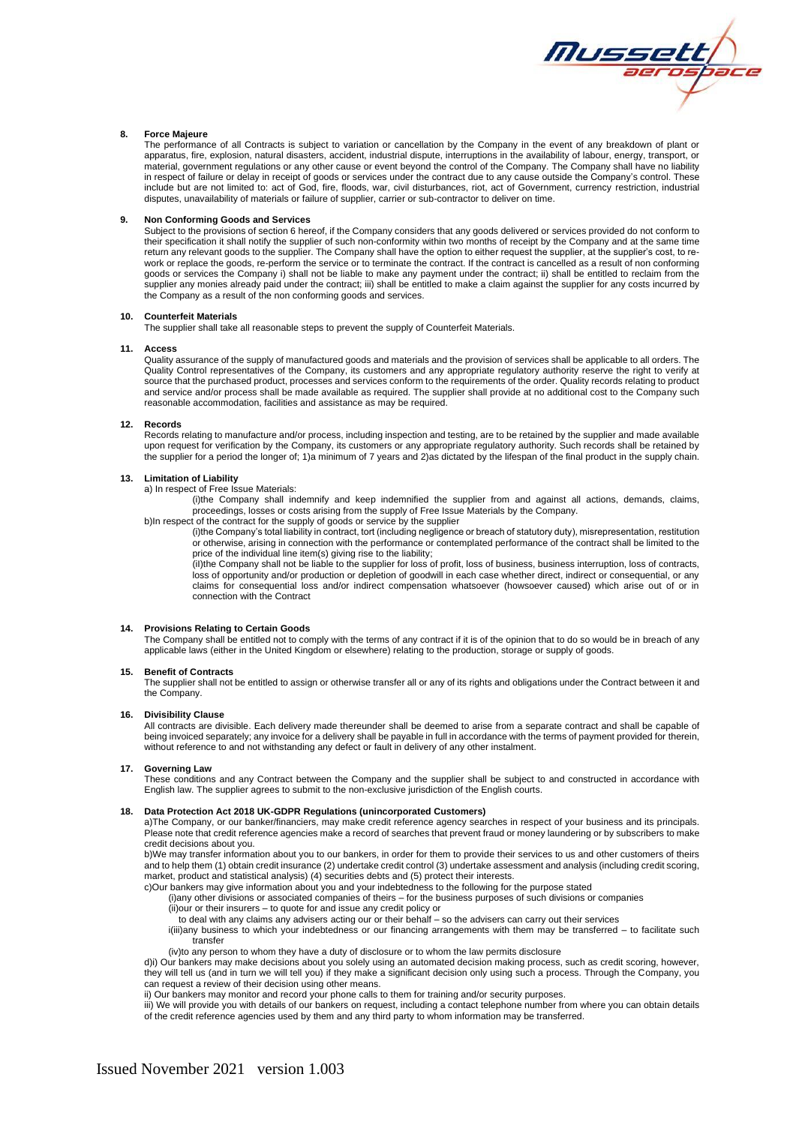

## **8. Force Majeure**

The performance of all Contracts is subject to variation or cancellation by the Company in the event of any breakdown of plant or apparatus, fire, explosion, natural disasters, accident, industrial dispute, interruptions in the availability of labour, energy, transport, or material, government regulations or any other cause or event beyond the control of the Company. The Company shall have no liability in respect of failure or delay in receipt of goods or services under the contract due to any cause outside the Company's control. These include but are not limited to: act of God, fire, floods, war, civil disturbances, riot, act of Government, currency restriction, industrial disputes, unavailability of materials or failure of supplier, carrier or sub-contractor to deliver on time.

### **9. Non Conforming Goods and Services**

Subject to the provisions of section 6 hereof, if the Company considers that any goods delivered or services provided do not conform to their specification it shall notify the supplier of such non-conformity within two months of receipt by the Company and at the same time return any relevant goods to the supplier. The Company shall have the option to either request the supplier, at the supplier's cost, to rework or replace the goods, re-perform the service or to terminate the contract. If the contract is cancelled as a result of non conforming goods or services the Company i) shall not be liable to make any payment under the contract; ii) shall be entitled to reclaim from the supplier any monies already paid under the contract; iii) shall be entitled to make a claim against the supplier for any costs incurred by the Company as a result of the non conforming goods and services.

### **10. Counterfeit Materials**

The supplier shall take all reasonable steps to prevent the supply of Counterfeit Materials.

## **11. Access**

Quality assurance of the supply of manufactured goods and materials and the provision of services shall be applicable to all orders. The Quality Control representatives of the Company, its customers and any appropriate regulatory authority reserve the right to verify at source that the purchased product, processes and services conform to the requirements of the order. Quality records relating to product and service and/or process shall be made available as required. The supplier shall provide at no additional cost to the Company such reasonable accommodation, facilities and assistance as may be required.

## **12. Records**

Records relating to manufacture and/or process, including inspection and testing, are to be retained by the supplier and made available upon request for verification by the Company, its customers or any appropriate regulatory authority. Such records shall be retained by the supplier for a period the longer of; 1)a minimum of 7 years and 2)as dictated by the lifespan of the final product in the supply chain.

#### **13. Limitation of Liability**

a) In respect of Free Issue Materials:

(i)the Company shall indemnify and keep indemnified the supplier from and against all actions, demands, claims, proceedings, losses or costs arising from the supply of Free Issue Materials by the Company.

b)In respect of the contract for the supply of goods or service by the supplier

(i)the Company's total liability in contract, tort (including negligence or breach of statutory duty), misrepresentation, restitution or otherwise, arising in connection with the performance or contemplated performance of the contract shall be limited to the price of the individual line item(s) giving rise to the liability;

(iI)the Company shall not be liable to the supplier for loss of profit, loss of business, business interruption, loss of contracts, loss of opportunity and/or production or depletion of goodwill in each case whether direct, indirect or consequential, or any claims for consequential loss and/or indirect compensation whatsoever (howsoever caused) which arise out of or in connection with the Contract

### **14. Provisions Relating to Certain Goods**

The Company shall be entitled not to comply with the terms of any contract if it is of the opinion that to do so would be in breach of any applicable laws (either in the United Kingdom or elsewhere) relating to the production, storage or supply of goods.

#### **15. Benefit of Contracts**

The supplier shall not be entitled to assign or otherwise transfer all or any of its rights and obligations under the Contract between it and the Company.

#### **16. Divisibility Clause**

All contracts are divisible. Each delivery made thereunder shall be deemed to arise from a separate contract and shall be capable of being invoiced separately; any invoice for a delivery shall be payable in full in accordance with the terms of payment provided for therein, without reference to and not withstanding any defect or fault in delivery of any other instalment.

## **17. Governing Law**

These conditions and any Contract between the Company and the supplier shall be subject to and constructed in accordance with English law. The supplier agrees to submit to the non-exclusive jurisdiction of the English courts.

#### **18. Data Protection Act 2018 UK-GDPR Regulations (unincorporated Customers)**

a)The Company, or our banker/financiers, may make credit reference agency searches in respect of your business and its principals. Please note that credit reference agencies make a record of searches that prevent fraud or money laundering or by subscribers to make credit decisions about you.

b)We may transfer information about you to our bankers, in order for them to provide their services to us and other customers of theirs and to help them (1) obtain credit insurance (2) undertake credit control (3) undertake assessment and analysis (including credit scoring, market, product and statistical analysis) (4) securities debts and (5) protect their interests.

c)Our bankers may give information about you and your indebtedness to the following for the purpose stated

(i)any other divisions or associated companies of theirs – for the business purposes of such divisions or companies

(ii)our or their insurers – to quote for and issue any credit policy or to deal with any claims any advisers acting our or their behalf – so the advisers can carry out their services

i(iii)any business to which your indebtedness or our financing arrangements with them may be transferred – to facilitate such

transfer

(iv)to any person to whom they have a duty of disclosure or to whom the law permits disclosure

d)i) Our bankers may make decisions about you solely using an automated decision making process, such as credit scoring, however, they will tell us (and in turn we will tell you) if they make a significant decision only using such a process. Through the Company, you can request a review of their decision using other means.

ii) Our bankers may monitor and record your phone calls to them for training and/or security purposes.

iii) We will provide you with details of our bankers on request, including a contact telephone number from where you can obtain details of the credit reference agencies used by them and any third party to whom information may be transferred.